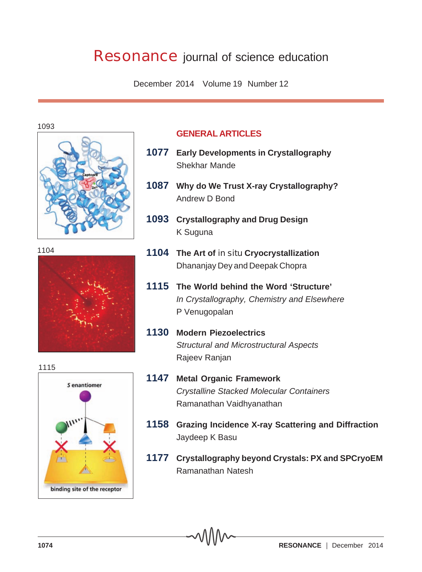# **Resonance** journal of science education

December 2014 Volume 19 Number 12

1093



1104



# 1115S enantiomer binding site of the receptor

## **GENERAL ARTICLES**

- **1077 Early Developments in Crystallography** Shekhar Mande
- **1087 Why do We Trust X-ray Crystallography?** Andrew D Bond
- **1093 Crystallography and Drug Design** K Suguna
- **1104 The Art of** *in situ* **Cryocrystallization** Dhananjay Dey and Deepak Chopra
- **1115 The World behind the Word 'Structure'** *In Crystallography, Chemistry and Elsewhere* P Venugopalan
- **1130 Modern Piezoelectrics** *Structural and Microstructural Aspects* Rajeev Ranjan
- **1147 Metal Organic Framework** *Crystalline Stacked Molecular Containers* Ramanathan Vaidhyanathan
- **1158 Grazing Incidence X-ray Scattering and Diffraction** Jaydeep K Basu
- **1177 Crystallography beyond Crystals: PX and SPCryoEM** Ramanathan Natesh